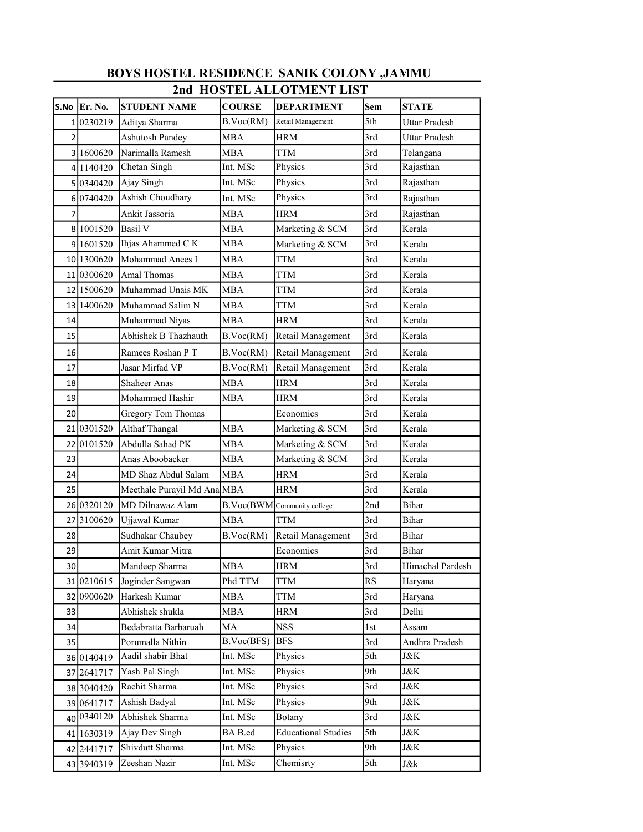| 2nd HOSTEL ALLOTMENT LIST |                      |                             |               |                             |       |                      |  |  |  |  |
|---------------------------|----------------------|-----------------------------|---------------|-----------------------------|-------|----------------------|--|--|--|--|
|                           | S.No $\vert$ Er. No. | <b>STUDENT NAME</b>         | <b>COURSE</b> | <b>DEPARTMENT</b>           | Sem   | <b>STATE</b>         |  |  |  |  |
|                           | 10230219             | Aditya Sharma               | B.Voc(RM)     | Retail Management           | 5th   | <b>Uttar Pradesh</b> |  |  |  |  |
| $\overline{2}$            |                      | <b>Ashutosh Pandey</b>      | <b>MBA</b>    | <b>HRM</b>                  | 3rd   | Uttar Pradesh        |  |  |  |  |
|                           | 31600620             | Narimalla Ramesh            | <b>MBA</b>    | <b>TTM</b>                  | 3rd   | Telangana            |  |  |  |  |
|                           | 4 1 1 4 0 4 2 0      | Chetan Singh                | Int. MSc      | Physics                     | 3rd   | Rajasthan            |  |  |  |  |
|                           | 50340420             | Ajay Singh                  | Int. MSc      | Physics                     | 3rd   | Rajasthan            |  |  |  |  |
|                           | 60740420             | Ashish Choudhary            | Int. MSc      | Physics                     | 3rd   | Rajasthan            |  |  |  |  |
| 7                         |                      | Ankit Jassoria              | <b>MBA</b>    | <b>HRM</b>                  | 3rd   | Rajasthan            |  |  |  |  |
|                           | 8 1001520            | Basil V                     | <b>MBA</b>    | Marketing & SCM             | 3rd   | Kerala               |  |  |  |  |
|                           | 9 1601520            | Ihjas Ahammed C K           | <b>MBA</b>    | Marketing & SCM             | 3rd   | Kerala               |  |  |  |  |
|                           | 10 1300620           | Mohammad Anees I            | <b>MBA</b>    | TTM                         | 3rd   | Kerala               |  |  |  |  |
|                           | 11 0300620           | Amal Thomas                 | MBA           | TTM                         | 3rd   | Kerala               |  |  |  |  |
|                           | 12 1500620           | Muhammad Unais MK           | <b>MBA</b>    | <b>TTM</b>                  | 3rd   | Kerala               |  |  |  |  |
|                           | 13 1400620           | Muhammad Salim N            | MBA           | TTM                         | 3rd   | Kerala               |  |  |  |  |
| 14                        |                      | Muhammad Niyas              | <b>MBA</b>    | HRM                         | 3rd   | Kerala               |  |  |  |  |
| 15                        |                      | Abhishek B Thazhauth        | B.Voc(RM)     | Retail Management           | 3rd   | Kerala               |  |  |  |  |
| 16                        |                      | Ramees Roshan P T           | B.Voc(RM)     | Retail Management           | 3rd   | Kerala               |  |  |  |  |
| 17                        |                      | Jasar Mirfad VP             | B.Voc(RM)     | Retail Management           | 3rd   | Kerala               |  |  |  |  |
| 18                        |                      | <b>Shaheer Anas</b>         | <b>MBA</b>    | <b>HRM</b>                  | 3rd   | Kerala               |  |  |  |  |
| 19                        |                      | Mohammed Hashir             | <b>MBA</b>    | <b>HRM</b>                  | 3rd   | Kerala               |  |  |  |  |
| 20                        |                      | Gregory Tom Thomas          |               | Economics                   | 3rd   | Kerala               |  |  |  |  |
|                           | 21 0301520           | Althaf Thangal              | <b>MBA</b>    | Marketing & SCM             | 3rd   | Kerala               |  |  |  |  |
|                           | 22 0101520           | Abdulla Sahad PK            | MBA           | Marketing & SCM             | 3rd   | Kerala               |  |  |  |  |
| 23                        |                      | Anas Aboobacker             | <b>MBA</b>    | Marketing & SCM             | 3rd   | Kerala               |  |  |  |  |
| 24                        |                      | MD Shaz Abdul Salam         | <b>MBA</b>    | <b>HRM</b>                  | 3rd   | Kerala               |  |  |  |  |
| 25                        |                      | Meethale Purayil Md Ana MBA |               | HRM                         | 3rd   | Kerala               |  |  |  |  |
|                           | 26 0320120           | MD Dilnawaz Alam            |               | B.Voc(BWM Community college | 2nd   | <b>Bihar</b>         |  |  |  |  |
|                           | 27 3100620           | Ujjawal Kumar               | <b>MBA</b>    | TTM                         | 3rd   | Bihar                |  |  |  |  |
| 28                        |                      | Sudhakar Chaubey            | B.Voc(RM)     | Retail Management           | 3rd   | Bihar                |  |  |  |  |
| 29                        |                      | Amit Kumar Mitra            |               | Economics                   | 3rd   | <b>Bihar</b>         |  |  |  |  |
| 30                        |                      | Mandeep Sharma              | <b>MBA</b>    | HRM                         | 3rd   | Himachal Pardesh     |  |  |  |  |
|                           | 31 0210615           | Joginder Sangwan            | Phd TTM       | <b>TTM</b>                  | RS    | Haryana              |  |  |  |  |
|                           | 32 0900620           | Harkesh Kumar               | MBA           | TTM                         | 3rd   | Haryana              |  |  |  |  |
| 33                        |                      | Abhishek shukla             | <b>MBA</b>    | <b>HRM</b>                  | 3rd   | Delhi                |  |  |  |  |
| 34                        |                      | Bedabratta Barbaruah        | MA            | <b>NSS</b>                  | $1st$ | Assam                |  |  |  |  |
| 35                        |                      | Porumalla Nithin            | B.Voc(BFS)    | BFS                         | 3rd   | Andhra Pradesh       |  |  |  |  |
|                           | 36 0140419           | Aadil shabir Bhat           | Int. MSc      | Physics                     | 5th   | J&K                  |  |  |  |  |
|                           | 37 2641717           | Yash Pal Singh              | Int. MSc      | Physics                     | 9th   | J&K                  |  |  |  |  |
|                           | 38 3040420           | Rachit Sharma               | Int. MSc      | Physics                     | 3rd   | J&K                  |  |  |  |  |
|                           | 39 0641717           | Ashish Badyal               | Int. MSc      | Physics                     | 9th   | J&K                  |  |  |  |  |
|                           | 40 0340120           | Abhishek Sharma             | Int. MSc      | Botany                      | 3rd   | J&K                  |  |  |  |  |
|                           | 41 1630319           | Ajay Dev Singh              | BA B.ed       | <b>Educational Studies</b>  | 5th   | J&K                  |  |  |  |  |
|                           | 42 2441717           | Shivdutt Sharma             | Int. MSc      | Physics                     | 9th   | J&K                  |  |  |  |  |
|                           | 43 3940319           | Zeeshan Nazir               | Int. MSc      | Chemisrty                   | 5th   | J&k                  |  |  |  |  |

## BOYS HOSTEL RESIDENCE SANIK COLONY ,JAMMU